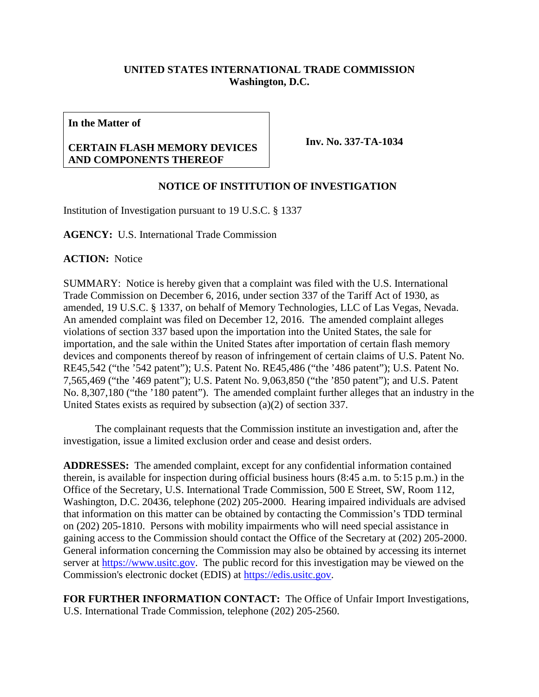## **UNITED STATES INTERNATIONAL TRADE COMMISSION Washington, D.C.**

**In the Matter of**

## **CERTAIN FLASH MEMORY DEVICES AND COMPONENTS THEREOF**

**Inv. No. 337-TA-1034**

## **NOTICE OF INSTITUTION OF INVESTIGATION**

Institution of Investigation pursuant to 19 U.S.C. § 1337

**AGENCY:** U.S. International Trade Commission

**ACTION:** Notice

SUMMARY: Notice is hereby given that a complaint was filed with the U.S. International Trade Commission on December 6, 2016, under section 337 of the Tariff Act of 1930, as amended, 19 U.S.C. § 1337, on behalf of Memory Technologies, LLC of Las Vegas, Nevada. An amended complaint was filed on December 12, 2016. The amended complaint alleges violations of section 337 based upon the importation into the United States, the sale for importation, and the sale within the United States after importation of certain flash memory devices and components thereof by reason of infringement of certain claims of U.S. Patent No. RE45,542 ("the '542 patent"); U.S. Patent No. RE45,486 ("the '486 patent"); U.S. Patent No. 7,565,469 ("the '469 patent"); U.S. Patent No. 9,063,850 ("the '850 patent"); and U.S. Patent No. 8,307,180 ("the '180 patent"). The amended complaint further alleges that an industry in the United States exists as required by subsection (a)(2) of section 337.

The complainant requests that the Commission institute an investigation and, after the investigation, issue a limited exclusion order and cease and desist orders.

**ADDRESSES:** The amended complaint, except for any confidential information contained therein, is available for inspection during official business hours (8:45 a.m. to 5:15 p.m.) in the Office of the Secretary, U.S. International Trade Commission, 500 E Street, SW, Room 112, Washington, D.C. 20436, telephone (202) 205-2000. Hearing impaired individuals are advised that information on this matter can be obtained by contacting the Commission's TDD terminal on (202) 205-1810. Persons with mobility impairments who will need special assistance in gaining access to the Commission should contact the Office of the Secretary at (202) 205-2000. General information concerning the Commission may also be obtained by accessing its internet server at [https://www.usitc.gov.](https://www.usitc.gov/) The public record for this investigation may be viewed on the Commission's electronic docket (EDIS) at [https://edis.usitc.gov.](https://edis.usitc.gov/)

**FOR FURTHER INFORMATION CONTACT:** The Office of Unfair Import Investigations, U.S. International Trade Commission, telephone (202) 205-2560.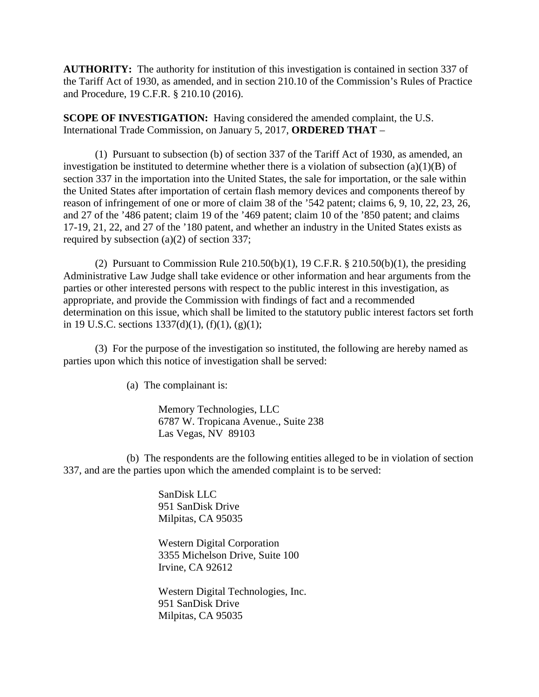**AUTHORITY:** The authority for institution of this investigation is contained in section 337 of the Tariff Act of 1930, as amended, and in section 210.10 of the Commission's Rules of Practice and Procedure, 19 C.F.R. § 210.10 (2016).

**SCOPE OF INVESTIGATION:** Having considered the amended complaint, the U.S. International Trade Commission, on January 5, 2017, **ORDERED THAT** –

(1) Pursuant to subsection (b) of section 337 of the Tariff Act of 1930, as amended, an investigation be instituted to determine whether there is a violation of subsection  $(a)(1)(B)$  of section 337 in the importation into the United States, the sale for importation, or the sale within the United States after importation of certain flash memory devices and components thereof by reason of infringement of one or more of claim 38 of the '542 patent; claims 6, 9, 10, 22, 23, 26, and 27 of the '486 patent; claim 19 of the '469 patent; claim 10 of the '850 patent; and claims 17-19, 21, 22, and 27 of the '180 patent, and whether an industry in the United States exists as required by subsection (a)(2) of section 337;

(2) Pursuant to Commission Rule  $210.50(b)(1)$ , 19 C.F.R. §  $210.50(b)(1)$ , the presiding Administrative Law Judge shall take evidence or other information and hear arguments from the parties or other interested persons with respect to the public interest in this investigation, as appropriate, and provide the Commission with findings of fact and a recommended determination on this issue, which shall be limited to the statutory public interest factors set forth in 19 U.S.C. sections  $1337(d)(1)$ ,  $(f)(1)$ ,  $(g)(1)$ ;

(3) For the purpose of the investigation so instituted, the following are hereby named as parties upon which this notice of investigation shall be served:

(a) The complainant is:

Memory Technologies, LLC 6787 W. Tropicana Avenue., Suite 238 Las Vegas, NV 89103

(b) The respondents are the following entities alleged to be in violation of section 337, and are the parties upon which the amended complaint is to be served:

> SanDisk LLC 951 SanDisk Drive Milpitas, CA 95035

Western Digital Corporation 3355 Michelson Drive, Suite 100 Irvine, CA 92612

Western Digital Technologies, Inc. 951 SanDisk Drive Milpitas, CA 95035